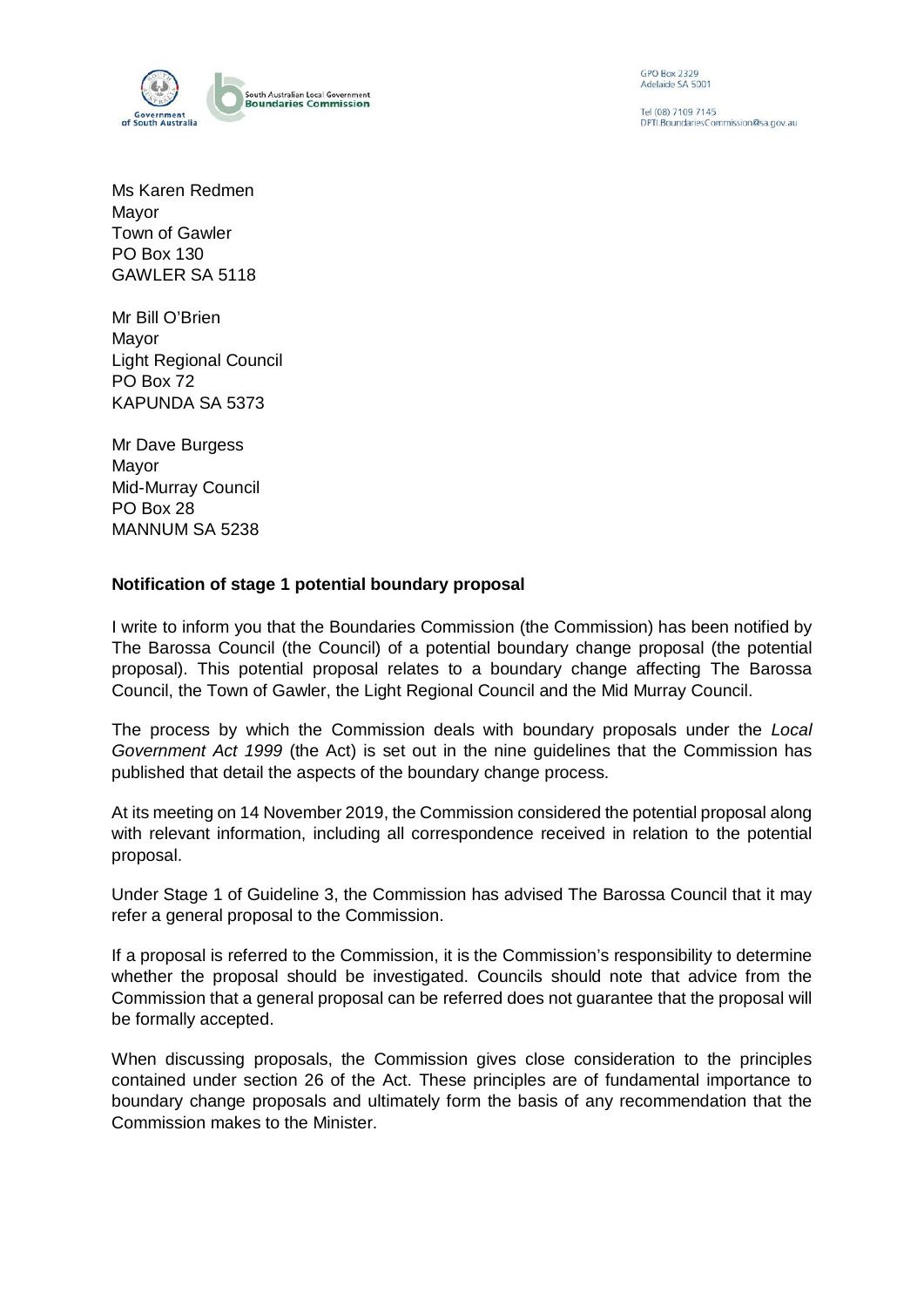

**GPO Box 2329** Adelaide SA 5001

Tel (08) 7109 7145 DPTLBoundariesCommission@sa.gov.au

Ms Karen Redmen Mayor Town of Gawler PO Box 130 GAWLER SA 5118

Mr Bill O'Brien Mayor Light Regional Council PO Box 72 KAPUNDA SA 5373

Mr Dave Burgess Mayor Mid-Murray Council PO Box 28 MANNUM SA 5238

## **Notification of stage 1 potential boundary proposal**

I write to inform you that the Boundaries Commission (the Commission) has been notified by The Barossa Council (the Council) of a potential boundary change proposal (the potential proposal). This potential proposal relates to a boundary change affecting The Barossa Council, the Town of Gawler, the Light Regional Council and the Mid Murray Council.

The process by which the Commission deals with boundary proposals under the *Local Government Act 1999* (the Act) is set out in the nine guidelines that the Commission has published that detail the aspects of the boundary change process.

At its meeting on 14 November 2019, the Commission considered the potential proposal along with relevant information, including all correspondence received in relation to the potential proposal.

Under Stage 1 of Guideline 3, the Commission has advised The Barossa Council that it may refer a general proposal to the Commission.

If a proposal is referred to the Commission, it is the Commission's responsibility to determine whether the proposal should be investigated. Councils should note that advice from the Commission that a general proposal can be referred does not guarantee that the proposal will be formally accepted.

When discussing proposals, the Commission gives close consideration to the principles contained under section 26 of the Act. These principles are of fundamental importance to boundary change proposals and ultimately form the basis of any recommendation that the Commission makes to the Minister.